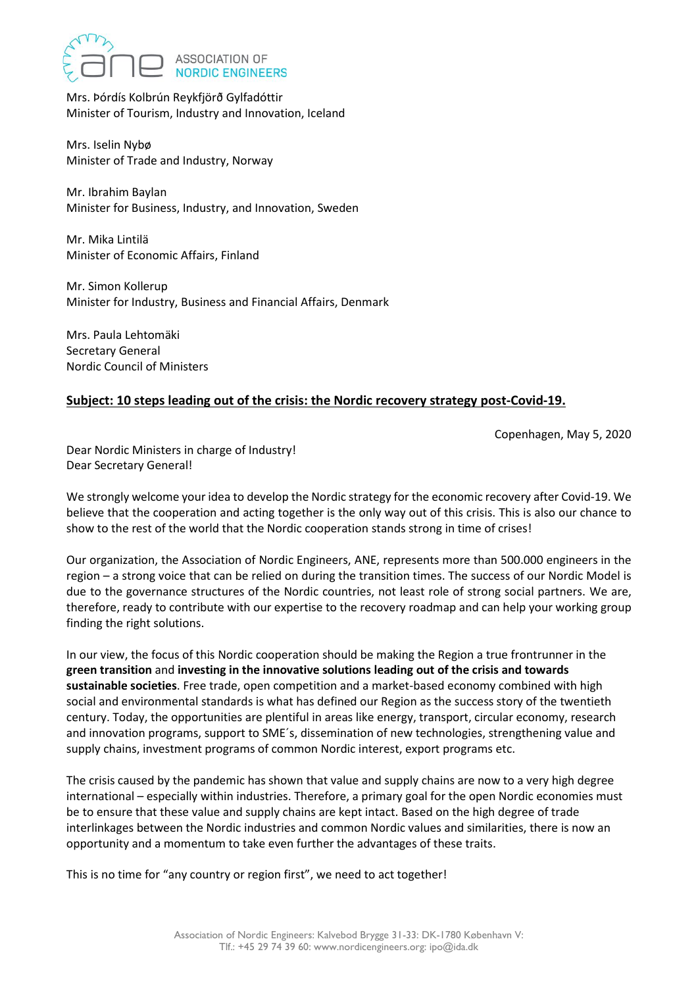

Mrs. Þórdís Kolbrún Reykfjörð Gylfadóttir Minister of Tourism, Industry and Innovation, Iceland

Mrs. Iselin Nybø Minister of Trade and Industry, Norway

Mr. Ibrahim Baylan Minister for Business, Industry, and Innovation, Sweden

Mr. Mika Lintilä Minister of Economic Affairs, Finland

Mr. Simon Kollerup Minister for Industry, Business and Financial Affairs, Denmark

Mrs. Paula Lehtomäki Secretary General Nordic Council of Ministers

## **Subject: 10 steps leading out of the crisis: the Nordic recovery strategy post-Covid-19.**

Copenhagen, May 5, 2020

Dear Nordic Ministers in charge of Industry! Dear Secretary General!

We strongly welcome your idea to develop the Nordic strategy for the economic recovery after Covid-19. We believe that the cooperation and acting together is the only way out of this crisis. This is also our chance to show to the rest of the world that the Nordic cooperation stands strong in time of crises!

Our organization, the Association of Nordic Engineers, ANE, represents more than 500.000 engineers in the region – a strong voice that can be relied on during the transition times. The success of our Nordic Model is due to the governance structures of the Nordic countries, not least role of strong social partners. We are, therefore, ready to contribute with our expertise to the recovery roadmap and can help your working group finding the right solutions.

In our view, the focus of this Nordic cooperation should be making the Region a true frontrunner in the **green transition** and **investing in the innovative solutions leading out of the crisis and towards sustainable societies**. Free trade, open competition and a market-based economy combined with high social and environmental standards is what has defined our Region as the success story of the twentieth century. Today, the opportunities are plentiful in areas like energy, transport, circular economy, research and innovation programs, support to SME´s, dissemination of new technologies, strengthening value and supply chains, investment programs of common Nordic interest, export programs etc.

The crisis caused by the pandemic has shown that value and supply chains are now to a very high degree international – especially within industries. Therefore, a primary goal for the open Nordic economies must be to ensure that these value and supply chains are kept intact. Based on the high degree of trade interlinkages between the Nordic industries and common Nordic values and similarities, there is now an opportunity and a momentum to take even further the advantages of these traits.

This is no time for "any country or region first", we need to act together!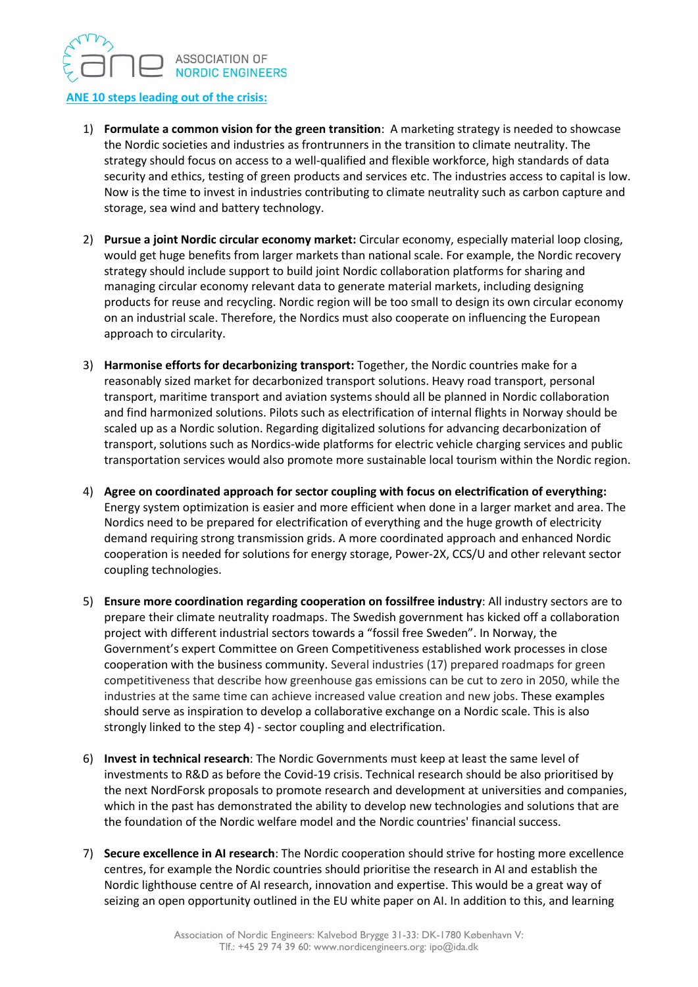## ASSOCIATION OF **NORDIC ENGINEERS**

## **ANE 10 steps leading out of the crisis:**

- 1) **Formulate a common vision for the green transition**: A marketing strategy is needed to showcase the Nordic societies and industries as frontrunners in the transition to climate neutrality. The strategy should focus on access to a well-qualified and flexible workforce, high standards of data security and ethics, testing of green products and services etc. The industries access to capital is low. Now is the time to invest in industries contributing to climate neutrality such as carbon capture and storage, sea wind and battery technology.
- 2) **Pursue a joint Nordic circular economy market:** Circular economy, especially material loop closing, would get huge benefits from larger markets than national scale. For example, the Nordic recovery strategy should include support to build joint Nordic collaboration platforms for sharing and managing circular economy relevant data to generate material markets, including designing products for reuse and recycling. Nordic region will be too small to design its own circular economy on an industrial scale. Therefore, the Nordics must also cooperate on influencing the European approach to circularity.
- 3) **Harmonise efforts for decarbonizing transport:** Together, the Nordic countries make for a reasonably sized market for decarbonized transport solutions. Heavy road transport, personal transport, maritime transport and aviation systems should all be planned in Nordic collaboration and find harmonized solutions. Pilots such as electrification of internal flights in Norway should be scaled up as a Nordic solution. Regarding digitalized solutions for advancing decarbonization of transport, solutions such as Nordics-wide platforms for electric vehicle charging services and public transportation services would also promote more sustainable local tourism within the Nordic region.
- 4) **Agree on coordinated approach for sector coupling with focus on electrification of everything:** Energy system optimization is easier and more efficient when done in a larger market and area. The Nordics need to be prepared for electrification of everything and the huge growth of electricity demand requiring strong transmission grids. A more coordinated approach and enhanced Nordic cooperation is needed for solutions for energy storage, Power-2X, CCS/U and other relevant sector coupling technologies.
- 5) **Ensure more coordination regarding cooperation on fossilfree industry**: All industry sectors are to prepare their climate neutrality roadmaps. The Swedish government has kicked off a collaboration project with different industrial sectors towards a "fossil free Sweden". In Norway, the Government's expert Committee on Green Competitiveness established work processes in close cooperation with the business community. Several industries (17) prepared roadmaps for green competitiveness that describe how greenhouse gas emissions can be cut to zero in 2050, while the industries at the same time can achieve increased value creation and new jobs. These examples should serve as inspiration to develop a collaborative exchange on a Nordic scale. This is also strongly linked to the step 4) - sector coupling and electrification.
- 6) **Invest in technical research**: The Nordic Governments must keep at least the same level of investments to R&D as before the Covid-19 crisis. Technical research should be also prioritised by the next NordForsk proposals to promote research and development at universities and companies, which in the past has demonstrated the ability to develop new technologies and solutions that are the foundation of the Nordic welfare model and the Nordic countries' financial success.
- 7) **Secure excellence in AI research**: The Nordic cooperation should strive for hosting more excellence centres, for example the Nordic countries should prioritise the research in AI and establish the Nordic lighthouse centre of AI research, innovation and expertise. This would be a great way of seizing an open opportunity outlined in the EU white paper on AI. In addition to this, and learning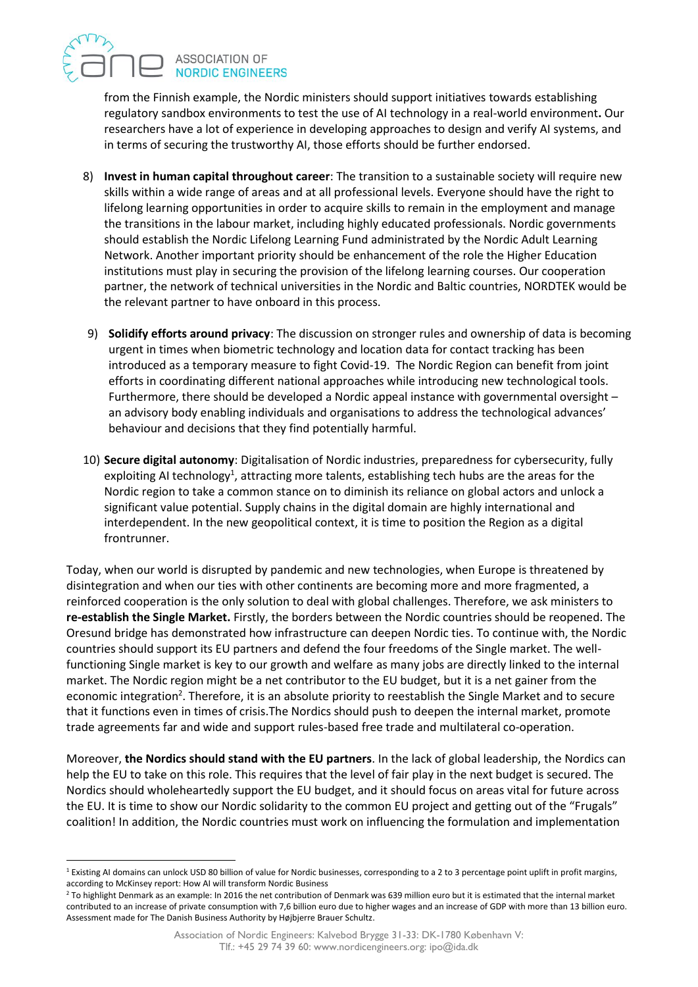## ASSOCIATION OF **NORDIC ENGINEERS**

from the Finnish example, the Nordic ministers should support initiatives towards establishing regulatory sandbox environments to test the use of AI technology in a real-world environment**.** Our researchers have a lot of experience in developing approaches to design and verify AI systems, and in terms of securing the trustworthy AI, those efforts should be further endorsed.

- 8) **Invest in human capital throughout career**: The transition to a sustainable society will require new skills within a wide range of areas and at all professional levels. Everyone should have the right to lifelong learning opportunities in order to acquire skills to remain in the employment and manage the transitions in the labour market, including highly educated professionals. Nordic governments should establish the Nordic Lifelong Learning Fund administrated by the Nordic Adult Learning Network. Another important priority should be enhancement of the role the Higher Education institutions must play in securing the provision of the lifelong learning courses. Our cooperation partner, the network of technical universities in the Nordic and Baltic countries, NORDTEK would be the relevant partner to have onboard in this process.
- 9) **Solidify efforts around privacy**: The discussion on stronger rules and ownership of data is becoming urgent in times when biometric technology and location data for contact tracking has been introduced as a temporary measure to fight Covid-19. The Nordic Region can benefit from joint efforts in coordinating different national approaches while introducing new technological tools. Furthermore, there should be developed a Nordic appeal instance with governmental oversight – an advisory body enabling individuals and organisations to address the technological advances' behaviour and decisions that they find potentially harmful.
- 10) **Secure digital autonomy**: Digitalisation of Nordic industries, preparedness for cybersecurity, fully exploiting AI technology<sup>1</sup>, attracting more talents, establishing tech hubs are the areas for the Nordic region to take a common stance on to diminish its reliance on global actors and unlock a significant value potential. Supply chains in the digital domain are highly international and interdependent. In the new geopolitical context, it is time to position the Region as a digital frontrunner.

Today, when our world is disrupted by pandemic and new technologies, when Europe is threatened by disintegration and when our ties with other continents are becoming more and more fragmented, a reinforced cooperation is the only solution to deal with global challenges. Therefore, we ask ministers to **re-establish the Single Market.** Firstly, the borders between the Nordic countries should be reopened. The Oresund bridge has demonstrated how infrastructure can deepen Nordic ties. To continue with, the Nordic countries should support its EU partners and defend the four freedoms of the Single market. The wellfunctioning Single market is key to our growth and welfare as many jobs are directly linked to the internal market. The Nordic region might be a net contributor to the EU budget, but it is a net gainer from the economic integration<sup>2</sup>. Therefore, it is an absolute priority to reestablish the Single Market and to secure that it functions even in times of crisis.The Nordics should push to deepen the internal market, promote trade agreements far and wide and support rules-based free trade and multilateral co-operation.

Moreover, **the Nordics should stand with the EU partners**. In the lack of global leadership, the Nordics can help the EU to take on this role. This requires that the level of fair play in the next budget is secured. The Nordics should wholeheartedly support the EU budget, and it should focus on areas vital for future across the EU. It is time to show our Nordic solidarity to the common EU project and getting out of the "Frugals" coalition! In addition, the Nordic countries must work on influencing the formulation and implementation

<sup>&</sup>lt;sup>1</sup> Existing AI domains can unlock USD 80 billion of value for Nordic businesses, corresponding to a 2 to 3 percentage point uplift in profit margins, according to McKinsey report: How AI will transform Nordic Business

<sup>&</sup>lt;sup>2</sup> To highlight Denmark as an example: In 2016 the net contribution of Denmark was 639 million euro but it is estimated that the internal market contributed to an increase of private consumption with 7,6 billion euro due to higher wages and an increase of GDP with more than 13 billion euro. Assessment made for The Danish Business Authority by Højbjerre Brauer Schultz.